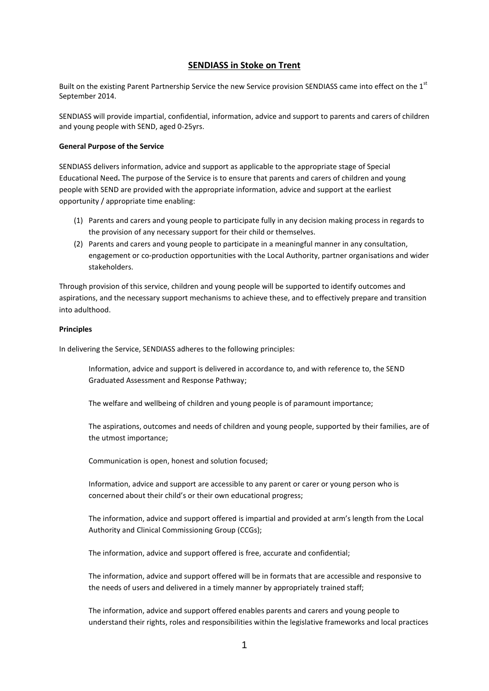# **SENDIASS in Stoke on Trent**

Built on the existing Parent Partnership Service the new Service provision SENDIASS came into effect on the 1<sup>st</sup> September 2014.

SENDIASS will provide impartial, confidential, information, advice and support to parents and carers of children and young people with SEND, aged 0-25yrs.

## **General Purpose of the Service**

SENDIASS delivers information, advice and support as applicable to the appropriate stage of Special Educational Need**.** The purpose of the Service is to ensure that parents and carers of children and young people with SEND are provided with the appropriate information, advice and support at the earliest opportunity / appropriate time enabling:

- (1) Parents and carers and young people to participate fully in any decision making process in regards to the provision of any necessary support for their child or themselves.
- (2) Parents and carers and young people to participate in a meaningful manner in any consultation, engagement or co-production opportunities with the Local Authority, partner organisations and wider stakeholders.

Through provision of this service, children and young people will be supported to identify outcomes and aspirations, and the necessary support mechanisms to achieve these, and to effectively prepare and transition into adulthood.

## **Principles**

In delivering the Service, SENDIASS adheres to the following principles:

Information, advice and support is delivered in accordance to, and with reference to, the SEND Graduated Assessment and Response Pathway;

The welfare and wellbeing of children and young people is of paramount importance;

The aspirations, outcomes and needs of children and young people, supported by their families, are of the utmost importance;

Communication is open, honest and solution focused;

Information, advice and support are accessible to any parent or carer or young person who is concerned about their child's or their own educational progress;

The information, advice and support offered is impartial and provided at arm's length from the Local Authority and Clinical Commissioning Group (CCGs);

The information, advice and support offered is free, accurate and confidential;

The information, advice and support offered will be in formats that are accessible and responsive to the needs of users and delivered in a timely manner by appropriately trained staff;

The information, advice and support offered enables parents and carers and young people to understand their rights, roles and responsibilities within the legislative frameworks and local practices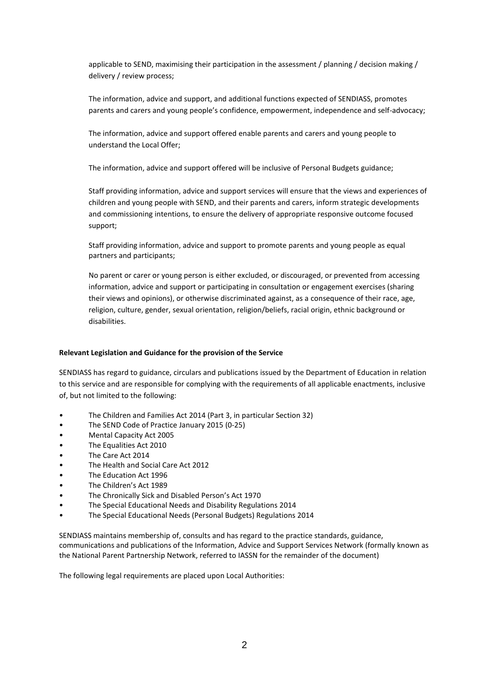applicable to SEND, maximising their participation in the assessment / planning / decision making / delivery / review process;

The information, advice and support, and additional functions expected of SENDIASS, promotes parents and carers and young people's confidence, empowerment, independence and self-advocacy;

The information, advice and support offered enable parents and carers and young people to understand the Local Offer;

The information, advice and support offered will be inclusive of Personal Budgets guidance;

Staff providing information, advice and support services will ensure that the views and experiences of children and young people with SEND, and their parents and carers, inform strategic developments and commissioning intentions, to ensure the delivery of appropriate responsive outcome focused support;

Staff providing information, advice and support to promote parents and young people as equal partners and participants;

No parent or carer or young person is either excluded, or discouraged, or prevented from accessing information, advice and support or participating in consultation or engagement exercises (sharing their views and opinions), or otherwise discriminated against, as a consequence of their race, age, religion, culture, gender, sexual orientation, religion/beliefs, racial origin, ethnic background or disabilities.

### **Relevant Legislation and Guidance for the provision of the Service**

SENDIASS has regard to guidance, circulars and publications issued by the Department of Education in relation to this service and are responsible for complying with the requirements of all applicable enactments, inclusive of, but not limited to the following:

- The Children and Families Act 2014 (Part 3, in particular Section 32)
- The SEND Code of Practice January 2015 (0-25)
- Mental Capacity Act 2005
- The Equalities Act 2010
- The Care Act 2014
- The Health and Social Care Act 2012
- The Education Act 1996
- The Children's Act 1989
- The Chronically Sick and Disabled Person's Act 1970
- The Special Educational Needs and Disability Regulations 2014
- The Special Educational Needs (Personal Budgets) Regulations 2014

SENDIASS maintains membership of, consults and has regard to the practice standards, guidance, communications and publications of the Information, Advice and Support Services Network (formally known as the National Parent Partnership Network, referred to IASSN for the remainder of the document)

The following legal requirements are placed upon Local Authorities: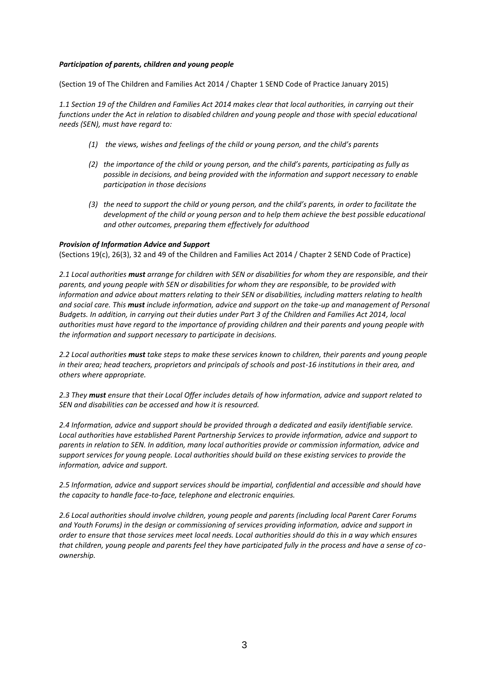## *Participation of parents, children and young people*

(Section 19 of The Children and Families Act 2014 / Chapter 1 SEND Code of Practice January 2015)

*1.1 Section 19 of the Children and Families Act 2014 makes clear that local authorities, in carrying out their functions under the Act in relation to disabled children and young people and those with special educational needs (SEN), must have regard to:*

- *(1) the views, wishes and feelings of the child or young person, and the child's parents*
- *(2) the importance of the child or young person, and the child's parents, participating as fully as possible in decisions, and being provided with the information and support necessary to enable participation in those decisions*
- *(3) the need to support the child or young person, and the child's parents, in order to facilitate the development of the child or young person and to help them achieve the best possible educational and other outcomes, preparing them effectively for adulthood*

## *Provision of Information Advice and Support*

(Sections 19(c), 26(3), 32 and 49 of the Children and Families Act 2014 / Chapter 2 SEND Code of Practice)

*2.1 Local authorities must arrange for children with SEN or disabilities for whom they are responsible, and their parents, and young people with SEN or disabilities for whom they are responsible, to be provided with information and advice about matters relating to their SEN or disabilities, including matters relating to health and social care. This must include information, advice and support on the take-up and management of Personal Budgets. In addition, in carrying out their duties under Part 3 of the Children and Families Act 2014, local authorities must have regard to the importance of providing children and their parents and young people with the information and support necessary to participate in decisions.*

*2.2 Local authorities must take steps to make these services known to children, their parents and young people in their area; head teachers, proprietors and principals of schools and post-16 institutions in their area, and others where appropriate.*

*2.3 They must ensure that their Local Offer includes details of how information, advice and support related to SEN and disabilities can be accessed and how it is resourced.*

*2.4 Information, advice and support should be provided through a dedicated and easily identifiable service. Local authorities have established Parent Partnership Services to provide information, advice and support to parents in relation to SEN. In addition, many local authorities provide or commission information, advice and support services for young people. Local authorities should build on these existing services to provide the information, advice and support.*

*2.5 Information, advice and support services should be impartial, confidential and accessible and should have the capacity to handle face-to-face, telephone and electronic enquiries.*

*2.6 Local authorities should involve children, young people and parents (including local Parent Carer Forums and Youth Forums) in the design or commissioning of services providing information, advice and support in order to ensure that those services meet local needs. Local authorities should do this in a way which ensures that children, young people and parents feel they have participated fully in the process and have a sense of coownership.*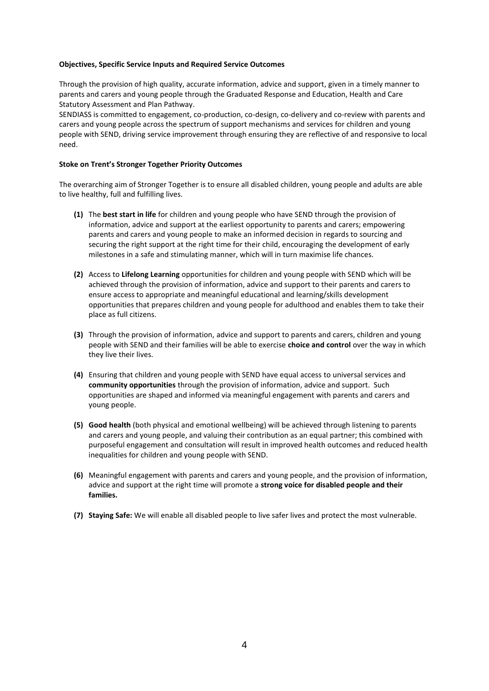## **Objectives, Specific Service Inputs and Required Service Outcomes**

Through the provision of high quality, accurate information, advice and support, given in a timely manner to parents and carers and young people through the Graduated Response and Education, Health and Care Statutory Assessment and Plan Pathway.

SENDIASS is committed to engagement, co-production, co-design, co-delivery and co-review with parents and carers and young people across the spectrum of support mechanisms and services for children and young people with SEND, driving service improvement through ensuring they are reflective of and responsive to local need.

## **Stoke on Trent's Stronger Together Priority Outcomes**

The overarching aim of Stronger Together is to ensure all disabled children, young people and adults are able to live healthy, full and fulfilling lives.

- **(1)** The **best start in life** for children and young people who have SEND through the provision of information, advice and support at the earliest opportunity to parents and carers; empowering parents and carers and young people to make an informed decision in regards to sourcing and securing the right support at the right time for their child, encouraging the development of early milestones in a safe and stimulating manner, which will in turn maximise life chances.
- **(2)** Access to **Lifelong Learning** opportunities for children and young people with SEND which will be achieved through the provision of information, advice and support to their parents and carers to ensure access to appropriate and meaningful educational and learning/skills development opportunities that prepares children and young people for adulthood and enables them to take their place as full citizens.
- **(3)** Through the provision of information, advice and support to parents and carers, children and young people with SEND and their families will be able to exercise **choice and control** over the way in which they live their lives.
- **(4)** Ensuring that children and young people with SEND have equal access to universal services and **community opportunities** through the provision of information, advice and support. Such opportunities are shaped and informed via meaningful engagement with parents and carers and young people.
- **(5) Good health** (both physical and emotional wellbeing) will be achieved through listening to parents and carers and young people, and valuing their contribution as an equal partner; this combined with purposeful engagement and consultation will result in improved health outcomes and reduced health inequalities for children and young people with SEND.
- **(6)** Meaningful engagement with parents and carers and young people, and the provision of information, advice and support at the right time will promote a **strong voice for disabled people and their families.**
- **(7) Staying Safe:** We will enable all disabled people to live safer lives and protect the most vulnerable.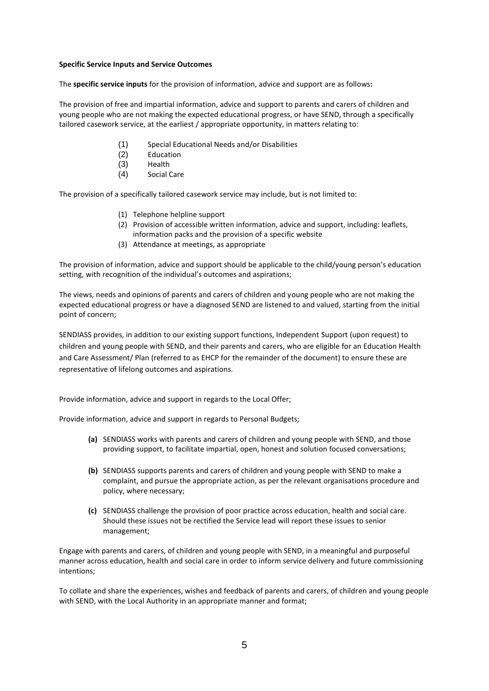## **Specific Service Inputs and Service Outcomes**

The **specific service inputs** for the provision of information, advice and support are as follows**:**

The provision of free and impartial information, advice and support to parents and carers of children and young people who are not making the expected educational progress, or have SEND, through a specifically tailored casework service, at the earliest / appropriate opportunity, in matters relating to:

- (1) Special Educational Needs and/or Disabilities
- (2) Education
- (3) Health
- (4) Social Care

The provision of a specifically tailored casework service may include, but is not limited to:

- (1) Telephone helpline support
- (2) Provision of accessible written information, advice and support, including: leaflets, information packs and the provision of a specific website
- (3) Attendance at meetings, as appropriate

The provision of information, advice and support should be applicable to the child/young person's education setting, with recognition of the individual's outcomes and aspirations;

The views, needs and opinions of parents and carers of children and young people who are not making the expected educational progress or have a diagnosed SEND are listened to and valued, starting from the initial point of concern;

SENDIASS provides, in addition to our existing support functions, Independent Support (upon request) to children and young people with SEND, and their parents and carers, who are eligible for an Education Health and Care Assessment/ Plan (referred to as EHCP for the remainder of the document) to ensure these are representative of lifelong outcomes and aspirations.

Provide information, advice and support in regards to the Local Offer;

Provide information, advice and support in regards to Personal Budgets;

- **(a)** SENDIASS works with parents and carers of children and young people with SEND, and those providing support, to facilitate impartial, open, honest and solution focused conversations;
- **(b)** SENDIASS supports parents and carers of children and young people with SEND to make a complaint, and pursue the appropriate action, as per the relevant organisations procedure and policy, where necessary;
- **(c)** SENDIASS challenge the provision of poor practice across education, health and social care. Should these issues not be rectified the Service lead will report these issues to senior management;

Engage with parents and carers, of children and young people with SEND, in a meaningful and purposeful manner across education, health and social care in order to inform service delivery and future commissioning intentions;

To collate and share the experiences, wishes and feedback of parents and carers, of children and young people with SEND, with the Local Authority in an appropriate manner and format;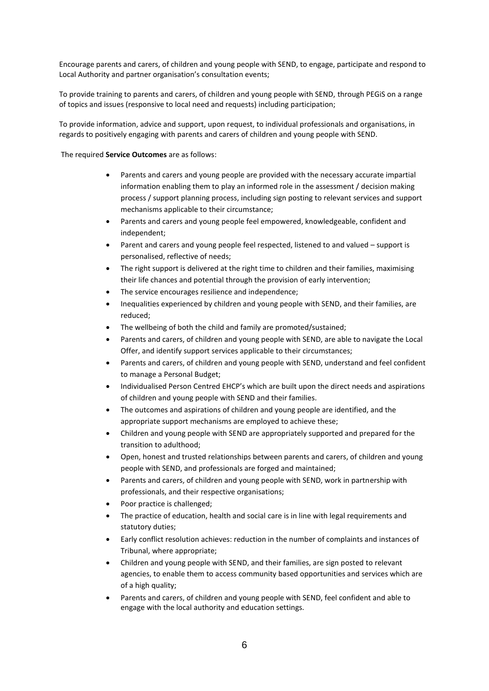Encourage parents and carers, of children and young people with SEND, to engage, participate and respond to Local Authority and partner organisation's consultation events;

To provide training to parents and carers, of children and young people with SEND, through PEGiS on a range of topics and issues (responsive to local need and requests) including participation;

To provide information, advice and support, upon request, to individual professionals and organisations, in regards to positively engaging with parents and carers of children and young people with SEND.

The required **Service Outcomes** are as follows:

- Parents and carers and young people are provided with the necessary accurate impartial information enabling them to play an informed role in the assessment / decision making process / support planning process, including sign posting to relevant services and support mechanisms applicable to their circumstance;
- Parents and carers and young people feel empowered, knowledgeable, confident and independent;
- Parent and carers and young people feel respected, listened to and valued support is personalised, reflective of needs;
- The right support is delivered at the right time to children and their families, maximising their life chances and potential through the provision of early intervention;
- The service encourages resilience and independence;
- Inequalities experienced by children and young people with SEND, and their families, are reduced;
- The wellbeing of both the child and family are promoted/sustained;
- Parents and carers, of children and young people with SEND, are able to navigate the Local Offer, and identify support services applicable to their circumstances;
- Parents and carers, of children and young people with SEND, understand and feel confident to manage a Personal Budget;
- Individualised Person Centred EHCP's which are built upon the direct needs and aspirations of children and young people with SEND and their families.
- The outcomes and aspirations of children and young people are identified, and the appropriate support mechanisms are employed to achieve these;
- Children and young people with SEND are appropriately supported and prepared for the transition to adulthood;
- Open, honest and trusted relationships between parents and carers, of children and young people with SEND, and professionals are forged and maintained;
- Parents and carers, of children and young people with SEND, work in partnership with professionals, and their respective organisations;
- Poor practice is challenged;
- The practice of education, health and social care is in line with legal requirements and statutory duties;
- Early conflict resolution achieves: reduction in the number of complaints and instances of Tribunal, where appropriate;
- Children and young people with SEND, and their families, are sign posted to relevant agencies, to enable them to access community based opportunities and services which are of a high quality;
- Parents and carers, of children and young people with SEND, feel confident and able to engage with the local authority and education settings.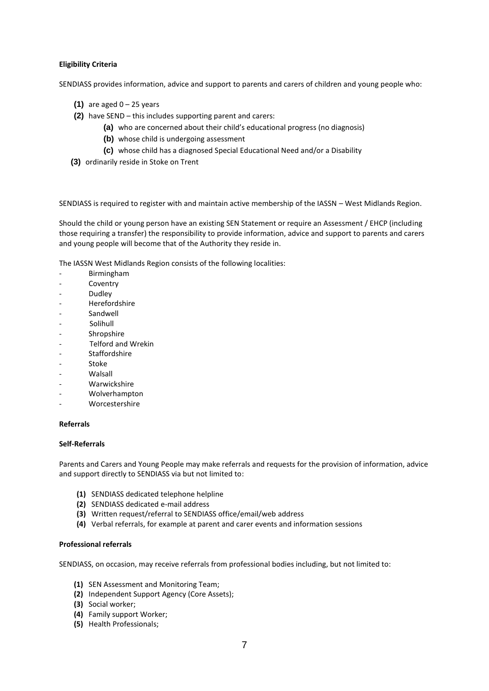## **Eligibility Criteria**

SENDIASS provides information, advice and support to parents and carers of children and young people who:

- **(1)** are aged  $0 25$  years
- **(2)** have SEND this includes supporting parent and carers:
	- **(a)** who are concerned about their child's educational progress (no diagnosis)
	- **(b)** whose child is undergoing assessment
	- **(c)** whose child has a diagnosed Special Educational Need and/or a Disability
- **(3)** ordinarily reside in Stoke on Trent

SENDIASS is required to register with and maintain active membership of the IASSN – West Midlands Region.

Should the child or young person have an existing SEN Statement or require an Assessment / EHCP (including those requiring a transfer) the responsibility to provide information, advice and support to parents and carers and young people will become that of the Authority they reside in.

The IASSN West Midlands Region consists of the following localities:

- Birmingham
- Coventry
- Dudley
- Herefordshire
- **Sandwell**
- Solihull
- Shropshire
- Telford and Wrekin
- Staffordshire
- **Stoke**
- Walsall
- Warwickshire
- Wolverhampton
- Worcestershire

### **Referrals**

### **Self-Referrals**

Parents and Carers and Young People may make referrals and requests for the provision of information, advice and support directly to SENDIASS via but not limited to:

- **(1)** SENDIASS dedicated telephone helpline
- **(2)** SENDIASS dedicated e-mail address
- **(3)** Written request/referral to SENDIASS office/email/web address
- **(4)** Verbal referrals, for example at parent and carer events and information sessions

## **Professional referrals**

SENDIASS, on occasion, may receive referrals from professional bodies including, but not limited to:

- **(1)** SEN Assessment and Monitoring Team;
- **(2)** Independent Support Agency (Core Assets);
- **(3)** Social worker;
- **(4)** Family support Worker;
- **(5)** Health Professionals;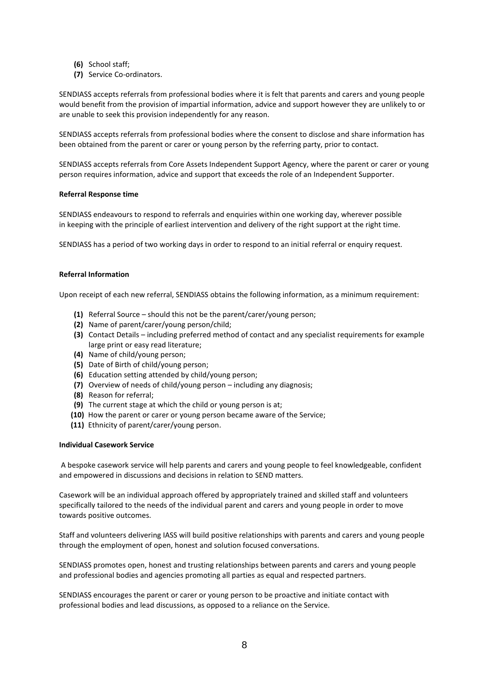- **(6)** School staff;
- **(7)** Service Co-ordinators.

SENDIASS accepts referrals from professional bodies where it is felt that parents and carers and young people would benefit from the provision of impartial information, advice and support however they are unlikely to or are unable to seek this provision independently for any reason.

SENDIASS accepts referrals from professional bodies where the consent to disclose and share information has been obtained from the parent or carer or young person by the referring party, prior to contact.

SENDIASS accepts referrals from Core Assets Independent Support Agency, where the parent or carer or young person requires information, advice and support that exceeds the role of an Independent Supporter.

## **Referral Response time**

SENDIASS endeavours to respond to referrals and enquiries within one working day, wherever possible in keeping with the principle of earliest intervention and delivery of the right support at the right time.

SENDIASS has a period of two working days in order to respond to an initial referral or enquiry request.

## **Referral Information**

Upon receipt of each new referral, SENDIASS obtains the following information, as a minimum requirement:

- **(1)** Referral Source should this not be the parent/carer/young person;
- **(2)** Name of parent/carer/young person/child;
- **(3)** Contact Details including preferred method of contact and any specialist requirements for example large print or easy read literature;
- **(4)** Name of child/young person;
- **(5)** Date of Birth of child/young person;
- **(6)** Education setting attended by child/young person;
- **(7)** Overview of needs of child/young person including any diagnosis;
- **(8)** Reason for referral;
- **(9)** The current stage at which the child or young person is at;
- **(10)** How the parent or carer or young person became aware of the Service;
- **(11)** Ethnicity of parent/carer/young person.

## **Individual Casework Service**

A bespoke casework service will help parents and carers and young people to feel knowledgeable, confident and empowered in discussions and decisions in relation to SEND matters.

Casework will be an individual approach offered by appropriately trained and skilled staff and volunteers specifically tailored to the needs of the individual parent and carers and young people in order to move towards positive outcomes.

Staff and volunteers delivering IASS will build positive relationships with parents and carers and young people through the employment of open, honest and solution focused conversations.

SENDIASS promotes open, honest and trusting relationships between parents and carers and young people and professional bodies and agencies promoting all parties as equal and respected partners.

SENDIASS encourages the parent or carer or young person to be proactive and initiate contact with professional bodies and lead discussions, as opposed to a reliance on the Service.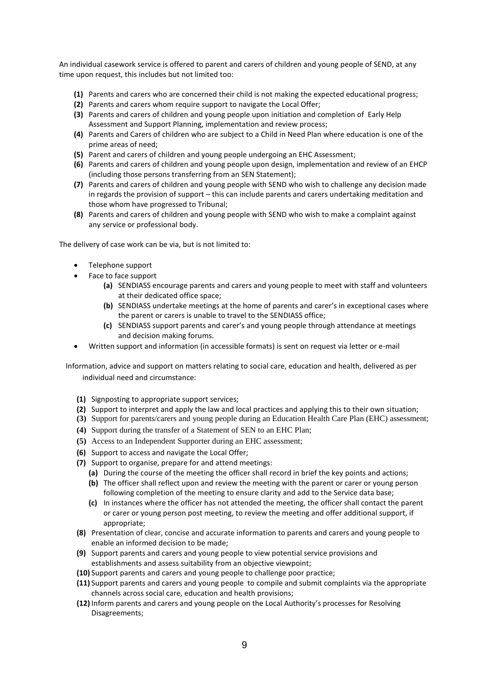An individual casework service is offered to parent and carers of children and young people of SEND, at any time upon request, this includes but not limited too:

- **(1)** Parents and carers who are concerned their child is not making the expected educational progress;
- **(2)** Parents and carers whom require support to navigate the Local Offer;
- **(3)** Parents and carers of children and young people upon initiation and completion of Early Help Assessment and Support Planning, implementation and review process;
- **(4)** Parents and Carers of children who are subject to a Child in Need Plan where education is one of the prime areas of need;
- **(5)** Parent and carers of children and young people undergoing an EHC Assessment;
- **(6)** Parents and carers of children and young people upon design, implementation and review of an EHCP (including those persons transferring from an SEN Statement);
- **(7)** Parents and carers of children and young people with SEND who wish to challenge any decision made in regards the provision of support – this can include parents and carers undertaking meditation and those whom have progressed to Tribunal;
- **(8)** Parents and carers of children and young people with SEND who wish to make a complaint against any service or professional body.

The delivery of case work can be via, but is not limited to:

- Telephone support
- Face to face support
	- **(a)** SENDIASS encourage parents and carers and young people to meet with staff and volunteers at their dedicated office space;
	- **(b)** SENDIASS undertake meetings at the home of parents and carer's in exceptional cases where the parent or carers is unable to travel to the SENDIASS office;
	- **(c)** SENDIASS support parents and carer's and young people through attendance at meetings and decision making forums.
- Written support and information (in accessible formats) is sent on request via letter or e-mail

Information, advice and support on matters relating to social care, education and health, delivered as per individual need and circumstance:

- **(1)** Signposting to appropriate support services;
- **(2)** Support to interpret and apply the law and local practices and applying this to their own situation;
- **(3)** Support for parents/carers and young people during an Education Health Care Plan (EHC) assessment;
- **(4)** Support during the transfer of a Statement of SEN to an EHC Plan;
- **(5)** Access to an Independent Supporter during an EHC assessment;
- **(6)** Support to access and navigate the Local Offer;
- **(7)** Support to organise, prepare for and attend meetings:
	- **(a)** During the course of the meeting the officer shall record in brief the key points and actions;
	- **(b)** The officer shall reflect upon and review the meeting with the parent or carer or young person following completion of the meeting to ensure clarity and add to the Service data base;
	- **(c)** In instances where the officer has not attended the meeting, the officer shall contact the parent or carer or young person post meeting, to review the meeting and offer additional support, if appropriate;
- **(8)** Presentation of clear, concise and accurate information to parents and carers and young people to enable an informed decision to be made;
- **(9)** Support parents and carers and young people to view potential service provisions and establishments and assess suitability from an objective viewpoint;
- **(10)** Support parents and carers and young people to challenge poor practice;
- **(11)** Support parents and carers and young people to compile and submit complaints via the appropriate channels across social care, education and health provisions;
- **(12)** Inform parents and carers and young people on the Local Authority's processes for Resolving Disagreements;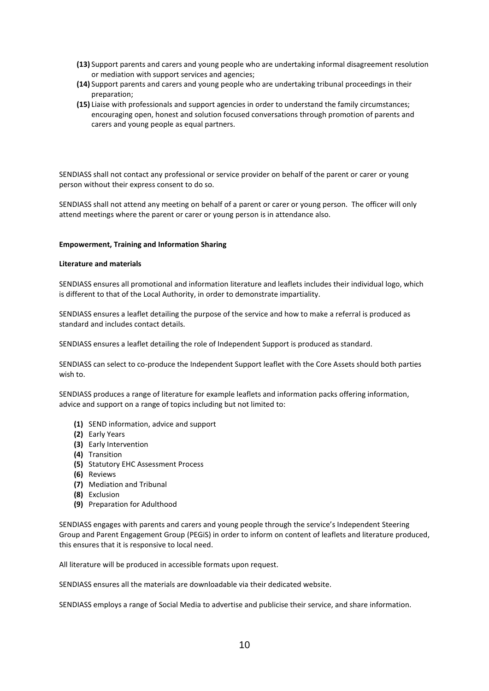- **(13)** Support parents and carers and young people who are undertaking informal disagreement resolution or mediation with support services and agencies;
- **(14)** Support parents and carers and young people who are undertaking tribunal proceedings in their preparation;
- **(15)** Liaise with professionals and support agencies in order to understand the family circumstances; encouraging open, honest and solution focused conversations through promotion of parents and carers and young people as equal partners.

SENDIASS shall not contact any professional or service provider on behalf of the parent or carer or young person without their express consent to do so.

SENDIASS shall not attend any meeting on behalf of a parent or carer or young person. The officer will only attend meetings where the parent or carer or young person is in attendance also.

## **Empowerment, Training and Information Sharing**

### **Literature and materials**

SENDIASS ensures all promotional and information literature and leaflets includes their individual logo, which is different to that of the Local Authority, in order to demonstrate impartiality.

SENDIASS ensures a leaflet detailing the purpose of the service and how to make a referral is produced as standard and includes contact details.

SENDIASS ensures a leaflet detailing the role of Independent Support is produced as standard.

SENDIASS can select to co-produce the Independent Support leaflet with the Core Assets should both parties wish to.

SENDIASS produces a range of literature for example leaflets and information packs offering information, advice and support on a range of topics including but not limited to:

- **(1)** SEND information, advice and support
- **(2)** Early Years
- **(3)** Early Intervention
- **(4)** Transition
- **(5)** Statutory EHC Assessment Process
- **(6)** Reviews
- **(7)** Mediation and Tribunal
- **(8)** Exclusion
- **(9)** Preparation for Adulthood

SENDIASS engages with parents and carers and young people through the service's Independent Steering Group and Parent Engagement Group (PEGiS) in order to inform on content of leaflets and literature produced, this ensures that it is responsive to local need.

All literature will be produced in accessible formats upon request.

SENDIASS ensures all the materials are downloadable via their dedicated website.

SENDIASS employs a range of Social Media to advertise and publicise their service, and share information.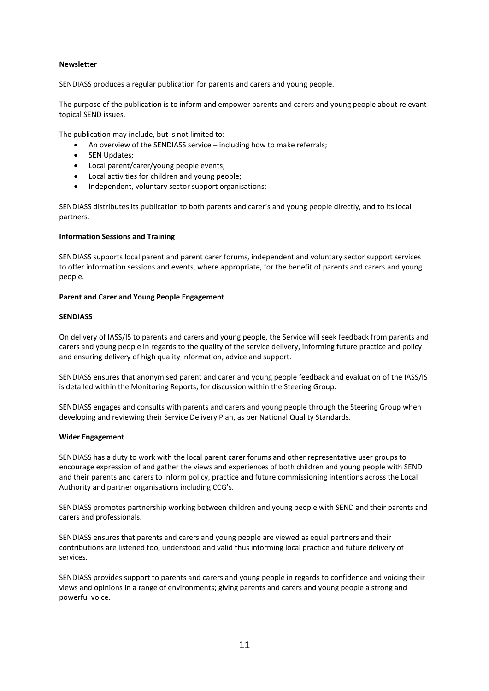## **Newsletter**

SENDIASS produces a regular publication for parents and carers and young people.

The purpose of the publication is to inform and empower parents and carers and young people about relevant topical SEND issues.

The publication may include, but is not limited to:

- An overview of the SENDIASS service including how to make referrals;
- SEN Updates;
- Local parent/carer/young people events;
- Local activities for children and young people;
- Independent, voluntary sector support organisations;

SENDIASS distributes its publication to both parents and carer's and young people directly, and to its local partners.

## **Information Sessions and Training**

SENDIASS supports local parent and parent carer forums, independent and voluntary sector support services to offer information sessions and events, where appropriate, for the benefit of parents and carers and young people.

## **Parent and Carer and Young People Engagement**

## **SENDIASS**

On delivery of IASS/IS to parents and carers and young people, the Service will seek feedback from parents and carers and young people in regards to the quality of the service delivery, informing future practice and policy and ensuring delivery of high quality information, advice and support.

SENDIASS ensures that anonymised parent and carer and young people feedback and evaluation of the IASS/IS is detailed within the Monitoring Reports; for discussion within the Steering Group.

SENDIASS engages and consults with parents and carers and young people through the Steering Group when developing and reviewing their Service Delivery Plan, as per National Quality Standards.

## **Wider Engagement**

SENDIASS has a duty to work with the local parent carer forums and other representative user groups to encourage expression of and gather the views and experiences of both children and young people with SEND and their parents and carers to inform policy, practice and future commissioning intentions across the Local Authority and partner organisations including CCG's.

SENDIASS promotes partnership working between children and young people with SEND and their parents and carers and professionals.

SENDIASS ensures that parents and carers and young people are viewed as equal partners and their contributions are listened too, understood and valid thus informing local practice and future delivery of services.

SENDIASS provides support to parents and carers and young people in regards to confidence and voicing their views and opinions in a range of environments; giving parents and carers and young people a strong and powerful voice.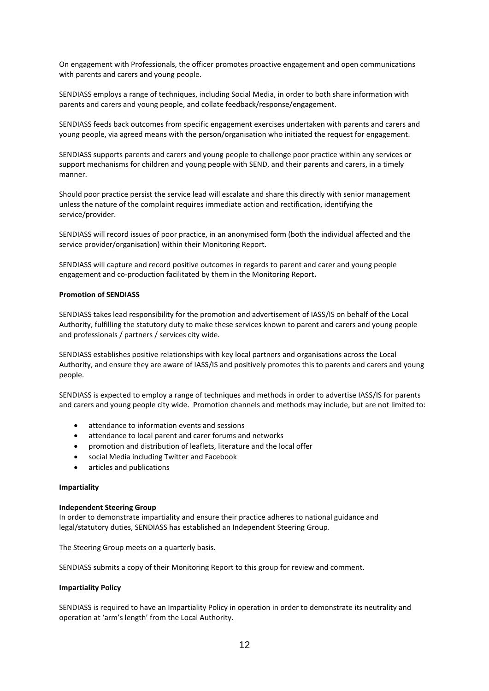On engagement with Professionals, the officer promotes proactive engagement and open communications with parents and carers and young people.

SENDIASS employs a range of techniques, including Social Media, in order to both share information with parents and carers and young people, and collate feedback/response/engagement.

SENDIASS feeds back outcomes from specific engagement exercises undertaken with parents and carers and young people, via agreed means with the person/organisation who initiated the request for engagement.

SENDIASS supports parents and carers and young people to challenge poor practice within any services or support mechanisms for children and young people with SEND, and their parents and carers, in a timely manner.

Should poor practice persist the service lead will escalate and share this directly with senior management unless the nature of the complaint requires immediate action and rectification, identifying the service/provider.

SENDIASS will record issues of poor practice, in an anonymised form (both the individual affected and the service provider/organisation) within their Monitoring Report.

SENDIASS will capture and record positive outcomes in regards to parent and carer and young people engagement and co-production facilitated by them in the Monitoring Report**.** 

### **Promotion of SENDIASS**

SENDIASS takes lead responsibility for the promotion and advertisement of IASS/IS on behalf of the Local Authority, fulfilling the statutory duty to make these services known to parent and carers and young people and professionals / partners / services city wide.

SENDIASS establishes positive relationships with key local partners and organisations across the Local Authority, and ensure they are aware of IASS/IS and positively promotes this to parents and carers and young people.

SENDIASS is expected to employ a range of techniques and methods in order to advertise IASS/IS for parents and carers and young people city wide. Promotion channels and methods may include, but are not limited to:

- attendance to information events and sessions
- attendance to local parent and carer forums and networks
- promotion and distribution of leaflets, literature and the local offer
- social Media including Twitter and Facebook
- articles and publications

### **Impartiality**

### **Independent Steering Group**

In order to demonstrate impartiality and ensure their practice adheres to national guidance and legal/statutory duties, SENDIASS has established an Independent Steering Group.

The Steering Group meets on a quarterly basis.

SENDIASS submits a copy of their Monitoring Report to this group for review and comment.

## **Impartiality Policy**

SENDIASS is required to have an Impartiality Policy in operation in order to demonstrate its neutrality and operation at 'arm's length' from the Local Authority.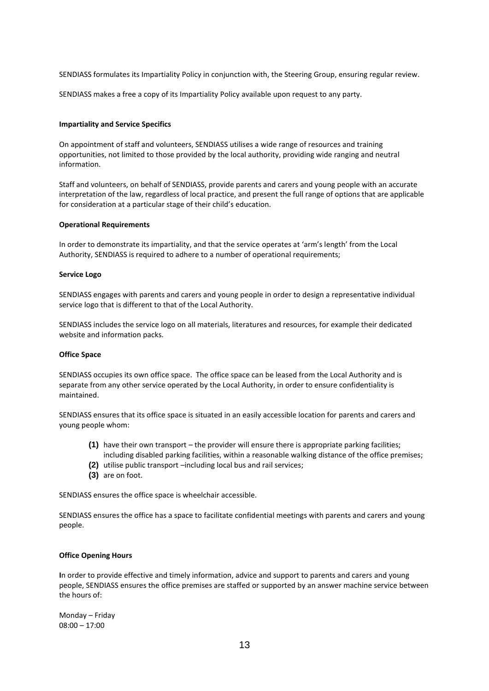SENDIASS formulates its Impartiality Policy in conjunction with, the Steering Group, ensuring regular review.

SENDIASS makes a free a copy of its Impartiality Policy available upon request to any party.

## **Impartiality and Service Specifics**

On appointment of staff and volunteers, SENDIASS utilises a wide range of resources and training opportunities, not limited to those provided by the local authority, providing wide ranging and neutral information.

Staff and volunteers, on behalf of SENDIASS, provide parents and carers and young people with an accurate interpretation of the law, regardless of local practice, and present the full range of options that are applicable for consideration at a particular stage of their child's education.

### **Operational Requirements**

In order to demonstrate its impartiality, and that the service operates at 'arm's length' from the Local Authority, SENDIASS is required to adhere to a number of operational requirements;

### **Service Logo**

SENDIASS engages with parents and carers and young people in order to design a representative individual service logo that is different to that of the Local Authority.

SENDIASS includes the service logo on all materials, literatures and resources, for example their dedicated website and information packs.

### **Office Space**

SENDIASS occupies its own office space. The office space can be leased from the Local Authority and is separate from any other service operated by the Local Authority, in order to ensure confidentiality is maintained.

SENDIASS ensures that its office space is situated in an easily accessible location for parents and carers and young people whom:

- **(1)** have their own transport the provider will ensure there is appropriate parking facilities; including disabled parking facilities, within a reasonable walking distance of the office premises;
- **(2)** utilise public transport –including local bus and rail services;
- **(3)** are on foot.

SENDIASS ensures the office space is wheelchair accessible.

SENDIASS ensures the office has a space to facilitate confidential meetings with parents and carers and young people.

### **Office Opening Hours**

**I**n order to provide effective and timely information, advice and support to parents and carers and young people, SENDIASS ensures the office premises are staffed or supported by an answer machine service between the hours of:

Monday – Friday 08:00 – 17:00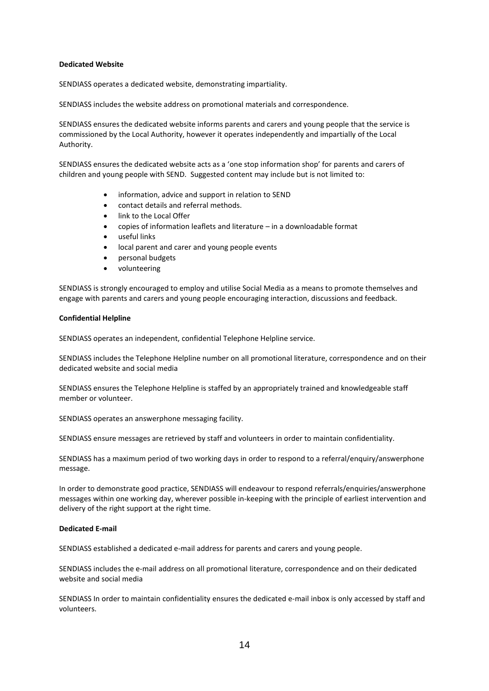## **Dedicated Website**

SENDIASS operates a dedicated website, demonstrating impartiality.

SENDIASS includes the website address on promotional materials and correspondence.

SENDIASS ensures the dedicated website informs parents and carers and young people that the service is commissioned by the Local Authority, however it operates independently and impartially of the Local Authority.

SENDIASS ensures the dedicated website acts as a 'one stop information shop' for parents and carers of children and young people with SEND. Suggested content may include but is not limited to:

- information, advice and support in relation to SEND
- contact details and referral methods.
- link to the Local Offer
- copies of information leaflets and literature in a downloadable format
- useful links
- local parent and carer and young people events
- personal budgets
- volunteering

SENDIASS is strongly encouraged to employ and utilise Social Media as a means to promote themselves and engage with parents and carers and young people encouraging interaction, discussions and feedback.

## **Confidential Helpline**

SENDIASS operates an independent, confidential Telephone Helpline service.

SENDIASS includes the Telephone Helpline number on all promotional literature, correspondence and on their dedicated website and social media

SENDIASS ensures the Telephone Helpline is staffed by an appropriately trained and knowledgeable staff member or volunteer.

SENDIASS operates an answerphone messaging facility.

SENDIASS ensure messages are retrieved by staff and volunteers in order to maintain confidentiality.

SENDIASS has a maximum period of two working days in order to respond to a referral/enquiry/answerphone message.

In order to demonstrate good practice, SENDIASS will endeavour to respond referrals/enquiries/answerphone messages within one working day, wherever possible in-keeping with the principle of earliest intervention and delivery of the right support at the right time.

### **Dedicated E-mail**

SENDIASS established a dedicated e-mail address for parents and carers and young people.

SENDIASS includes the e-mail address on all promotional literature, correspondence and on their dedicated website and social media

SENDIASS In order to maintain confidentiality ensures the dedicated e-mail inbox is only accessed by staff and volunteers.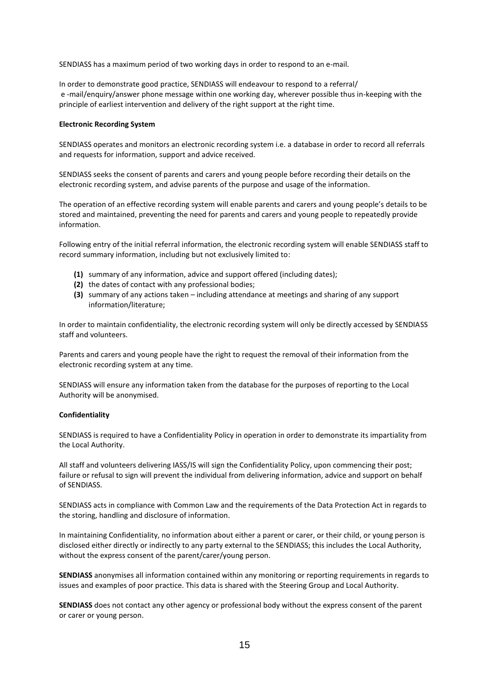SENDIASS has a maximum period of two working days in order to respond to an e-mail.

In order to demonstrate good practice, SENDIASS will endeavour to respond to a referral/ e -mail/enquiry/answer phone message within one working day, wherever possible thus in-keeping with the principle of earliest intervention and delivery of the right support at the right time.

### **Electronic Recording System**

SENDIASS operates and monitors an electronic recording system i.e. a database in order to record all referrals and requests for information, support and advice received.

SENDIASS seeks the consent of parents and carers and young people before recording their details on the electronic recording system, and advise parents of the purpose and usage of the information.

The operation of an effective recording system will enable parents and carers and young people's details to be stored and maintained, preventing the need for parents and carers and young people to repeatedly provide information.

Following entry of the initial referral information, the electronic recording system will enable SENDIASS staff to record summary information, including but not exclusively limited to:

- **(1)** summary of any information, advice and support offered (including dates);
- **(2)** the dates of contact with any professional bodies;
- **(3)** summary of any actions taken including attendance at meetings and sharing of any support information/literature;

In order to maintain confidentiality, the electronic recording system will only be directly accessed by SENDIASS staff and volunteers.

Parents and carers and young people have the right to request the removal of their information from the electronic recording system at any time.

SENDIASS will ensure any information taken from the database for the purposes of reporting to the Local Authority will be anonymised.

### **Confidentiality**

SENDIASS is required to have a Confidentiality Policy in operation in order to demonstrate its impartiality from the Local Authority.

All staff and volunteers delivering IASS/IS will sign the Confidentiality Policy, upon commencing their post; failure or refusal to sign will prevent the individual from delivering information, advice and support on behalf of SENDIASS.

SENDIASS acts in compliance with Common Law and the requirements of the Data Protection Act in regards to the storing, handling and disclosure of information.

In maintaining Confidentiality, no information about either a parent or carer, or their child, or young person is disclosed either directly or indirectly to any party external to the SENDIASS; this includes the Local Authority, without the express consent of the parent/carer/young person.

**SENDIASS** anonymises all information contained within any monitoring or reporting requirements in regards to issues and examples of poor practice. This data is shared with the Steering Group and Local Authority.

**SENDIASS** does not contact any other agency or professional body without the express consent of the parent or carer or young person.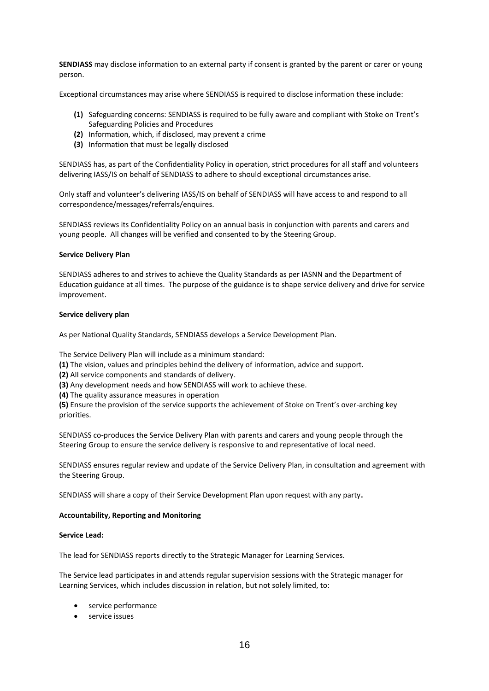**SENDIASS** may disclose information to an external party if consent is granted by the parent or carer or young person.

Exceptional circumstances may arise where SENDIASS is required to disclose information these include:

- **(1)** Safeguarding concerns: SENDIASS is required to be fully aware and compliant with Stoke on Trent's Safeguarding Policies and Procedures
- **(2)** Information, which, if disclosed, may prevent a crime
- **(3)** Information that must be legally disclosed

SENDIASS has, as part of the Confidentiality Policy in operation, strict procedures for all staff and volunteers delivering IASS/IS on behalf of SENDIASS to adhere to should exceptional circumstances arise.

Only staff and volunteer's delivering IASS/IS on behalf of SENDIASS will have access to and respond to all correspondence/messages/referrals/enquires.

SENDIASS reviews its Confidentiality Policy on an annual basis in conjunction with parents and carers and young people. All changes will be verified and consented to by the Steering Group.

### **Service Delivery Plan**

SENDIASS adheres to and strives to achieve the Quality Standards as per IASNN and the Department of Education guidance at all times. The purpose of the guidance is to shape service delivery and drive for service improvement.

## **Service delivery plan**

As per National Quality Standards, SENDIASS develops a Service Development Plan.

The Service Delivery Plan will include as a minimum standard:

**(1)** The vision, values and principles behind the delivery of information, advice and support.

**(2)** All service components and standards of delivery.

**(3)** Any development needs and how SENDIASS will work to achieve these.

**(4)** The quality assurance measures in operation

**(5)** Ensure the provision of the service supports the achievement of Stoke on Trent's over-arching key priorities.

SENDIASS co-produces the Service Delivery Plan with parents and carers and young people through the Steering Group to ensure the service delivery is responsive to and representative of local need.

SENDIASS ensures regular review and update of the Service Delivery Plan, in consultation and agreement with the Steering Group.

SENDIASS will share a copy of their Service Development Plan upon request with any party**.**

### **Accountability, Reporting and Monitoring**

## **Service Lead:**

The lead for SENDIASS reports directly to the Strategic Manager for Learning Services.

The Service lead participates in and attends regular supervision sessions with the Strategic manager for Learning Services, which includes discussion in relation, but not solely limited, to:

- service performance
- **•** service issues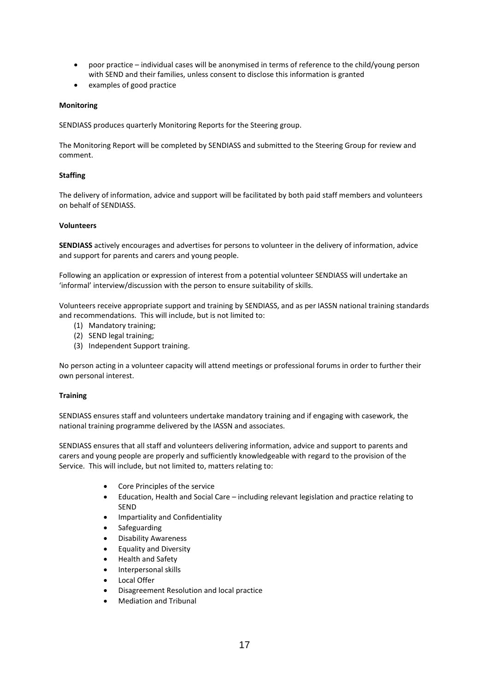- poor practice individual cases will be anonymised in terms of reference to the child/young person with SEND and their families, unless consent to disclose this information is granted
- examples of good practice

## **Monitoring**

SENDIASS produces quarterly Monitoring Reports for the Steering group.

The Monitoring Report will be completed by SENDIASS and submitted to the Steering Group for review and comment.

# **Staffing**

The delivery of information, advice and support will be facilitated by both paid staff members and volunteers on behalf of SENDIASS.

## **Volunteers**

**SENDIASS** actively encourages and advertises for persons to volunteer in the delivery of information, advice and support for parents and carers and young people.

Following an application or expression of interest from a potential volunteer SENDIASS will undertake an 'informal' interview/discussion with the person to ensure suitability of skills.

Volunteers receive appropriate support and training by SENDIASS, and as per IASSN national training standards and recommendations. This will include, but is not limited to:

- (1) Mandatory training;
- (2) SEND legal training;
- (3) Independent Support training.

No person acting in a volunteer capacity will attend meetings or professional forums in order to further their own personal interest.

## **Training**

SENDIASS ensures staff and volunteers undertake mandatory training and if engaging with casework, the national training programme delivered by the IASSN and associates.

SENDIASS ensures that all staff and volunteers delivering information, advice and support to parents and carers and young people are properly and sufficiently knowledgeable with regard to the provision of the Service. This will include, but not limited to, matters relating to:

- Core Principles of the service
- Education, Health and Social Care including relevant legislation and practice relating to SEND
- Impartiality and Confidentiality
- Safeguarding
- Disability Awareness
- Equality and Diversity
- Health and Safety
- Interpersonal skills
- Local Offer
- Disagreement Resolution and local practice
- Mediation and Tribunal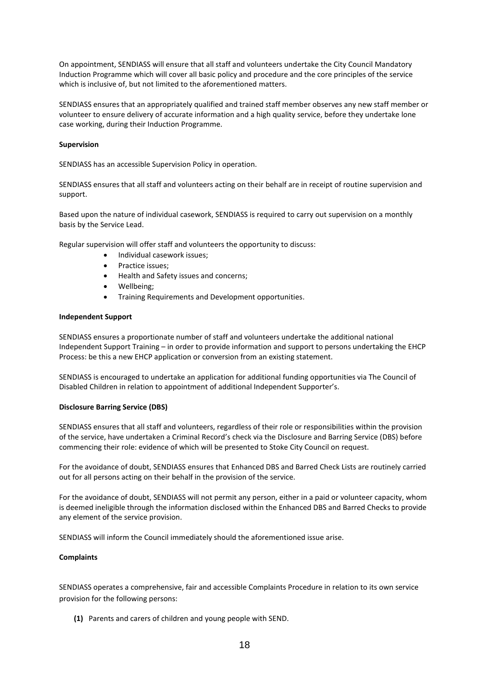On appointment, SENDIASS will ensure that all staff and volunteers undertake the City Council Mandatory Induction Programme which will cover all basic policy and procedure and the core principles of the service which is inclusive of, but not limited to the aforementioned matters.

SENDIASS ensures that an appropriately qualified and trained staff member observes any new staff member or volunteer to ensure delivery of accurate information and a high quality service, before they undertake lone case working, during their Induction Programme.

## **Supervision**

SENDIASS has an accessible Supervision Policy in operation.

SENDIASS ensures that all staff and volunteers acting on their behalf are in receipt of routine supervision and support.

Based upon the nature of individual casework, SENDIASS is required to carry out supervision on a monthly basis by the Service Lead.

Regular supervision will offer staff and volunteers the opportunity to discuss:

- Individual casework issues;
- Practice issues;
- Health and Safety issues and concerns;
- Wellbeing;
- Training Requirements and Development opportunities.

### **Independent Support**

SENDIASS ensures a proportionate number of staff and volunteers undertake the additional national Independent Support Training – in order to provide information and support to persons undertaking the EHCP Process: be this a new EHCP application or conversion from an existing statement.

SENDIASS is encouraged to undertake an application for additional funding opportunities via The Council of Disabled Children in relation to appointment of additional Independent Supporter's.

## **Disclosure Barring Service (DBS)**

SENDIASS ensures that all staff and volunteers, regardless of their role or responsibilities within the provision of the service, have undertaken a Criminal Record's check via the Disclosure and Barring Service (DBS) before commencing their role: evidence of which will be presented to Stoke City Council on request.

For the avoidance of doubt, SENDIASS ensures that Enhanced DBS and Barred Check Lists are routinely carried out for all persons acting on their behalf in the provision of the service.

For the avoidance of doubt, SENDIASS will not permit any person, either in a paid or volunteer capacity, whom is deemed ineligible through the information disclosed within the Enhanced DBS and Barred Checks to provide any element of the service provision.

SENDIASS will inform the Council immediately should the aforementioned issue arise.

## **Complaints**

SENDIASS operates a comprehensive, fair and accessible Complaints Procedure in relation to its own service provision for the following persons:

**(1)** Parents and carers of children and young people with SEND.